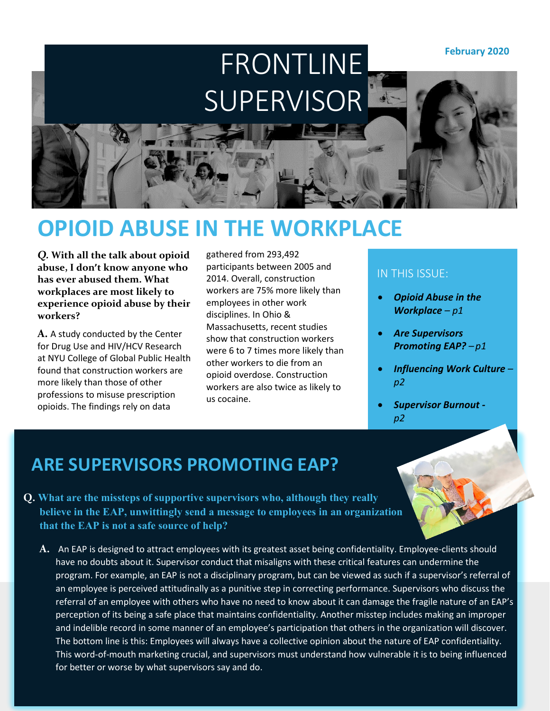**February 2020**

# FRONTLINE SUPERVISOR

### **OPIOID ABUSE IN THE WORKPLACE**

*Q.* **With all the talk about opioid abuse, I don't know anyone who has ever abused them. What workplaces are most likely to experience opioid abuse by their workers?**

**A.** A study conducted by the Center for Drug Use and HIV/HCV Research at NYU College of Global Public Health found that construction workers are more likely than those of other professions to misuse prescription opioids. The findings rely on data

gathered from 293,492 participants between 2005 and 2014. Overall, construction workers are 75% more likely than employees in other work disciplines. In Ohio & Massachusetts, recent studies show that construction workers were 6 to 7 times more likely than other workers to die from an opioid overdose. Construction workers are also twice as likely to us cocaine.

#### IN THIS ISSUE:

- *Opioid Abuse in the Workplace – p1*
- *Are Supervisors Promoting EAP? – p1*
- *Influencing Work Culture – p2*
- *Supervisor Burnout p2*

#### **ARE SUPERVISORS PROMOTING EAP?**

- **Q. What are the missteps of supportive supervisors who, although they really believe in the EAP, unwittingly send a message to employees in an organization that the EAP is not a safe source of help?** 
	- **A.** An EAP is designed to attract employees with its greatest asset being confidentiality. Employee-clients should have no doubts about it. Supervisor conduct that misaligns with these critical features can undermine the program. For example, an EAP is not a disciplinary program, but can be viewed as such if a supervisor's referral of an employee is perceived attitudinally as a punitive step in correcting performance. Supervisors who discuss the referral of an employee with others who have no need to know about it can damage the fragile nature of an EAP's perception of its being a safe place that maintains confidentiality. Another misstep includes making an improper and indelible record in some manner of an employee's participation that others in the organization will discover. The bottom line is this: Employees will always have a collective opinion about the nature of EAP confidentiality. This word-of-mouth marketing crucial, and supervisors must understand how vulnerable it is to being influenced for better or worse by what supervisors say and do.